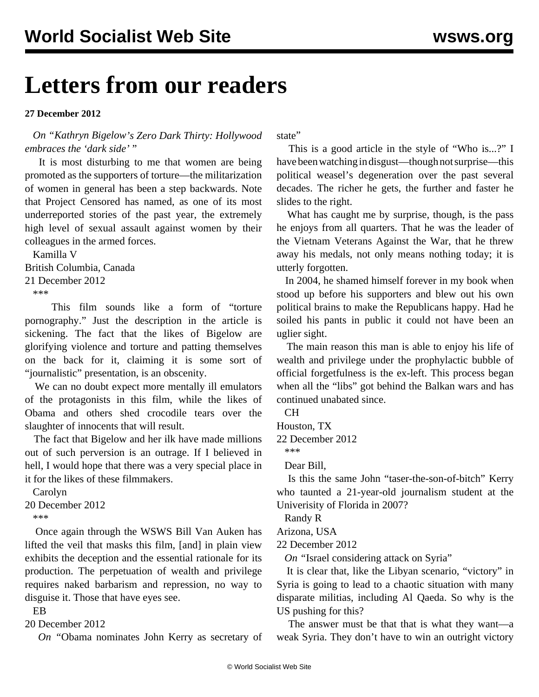## **Letters from our readers**

**27 December 2012**

 *On "[Kathryn Bigelow'](/en/articles/2012/12/20/dark-d20.html)s Zero Dark Thirty: Hollywood embraces the 'dark side'* "

 It is most disturbing to me that women are being promoted as the supporters of torture—the militarization of women in general has been a step backwards. Note that Project Censored has named, as one of its most underreported stories of the past year, the extremely high level of sexual assault against women by their colleagues in the armed forces.

 Kamilla V British Columbia, Canada 21 December 2012 \*\*\*

 This film sounds like a form of "torture pornography." Just the description in the article is sickening. The fact that the likes of Bigelow are glorifying violence and torture and patting themselves on the back for it, claiming it is some sort of "journalistic" presentation, is an obscenity.

 We can no doubt expect more mentally ill emulators of the protagonists in this film, while the likes of Obama and others shed crocodile tears over the slaughter of innocents that will result.

 The fact that Bigelow and her ilk have made millions out of such perversion is an outrage. If I believed in hell, I would hope that there was a very special place in it for the likes of these filmmakers.

 Carolyn 20 December 2012 \*\*\*

 Once again through the WSWS Bill Van Auken has lifted the veil that masks this film, [and] in plain view exhibits the deception and the essential rationale for its production. The perpetuation of wealth and privilege requires naked barbarism and repression, no way to disguise it. Those that have eyes see.

EB

20 December 2012

*On "*[Obama nominates John Kerry as secretary of](/en/articles/2012/12/22/kerr-d22.html)

[state](/en/articles/2012/12/22/kerr-d22.html)"

 This is a good article in the style of "Who is...?" I have been watching in disgust—though not surprise—this political weasel's degeneration over the past several decades. The richer he gets, the further and faster he slides to the right.

 What has caught me by surprise, though, is the pass he enjoys from all quarters. That he was the leader of the Vietnam Veterans Against the War, that he threw away his medals, not only means nothing today; it is utterly forgotten.

 In 2004, he shamed himself forever in my book when stood up before his supporters and blew out his own political brains to make the Republicans happy. Had he soiled his pants in public it could not have been an uglier sight.

 The main reason this man is able to enjoy his life of wealth and privilege under the prophylactic bubble of official forgetfulness is the ex-left. This process began when all the "libs" got behind the Balkan wars and has continued unabated since.

CH

Houston, TX

22 December 2012

\*\*\*

Dear Bill,

 Is this the same John "taser-the-son-of-bitch" Kerry who [taunted a 21-year-old journalism student](/en/articles/2007/09/meye-s20.html) at the Univerisity of Florida in 2007?

Randy R

Arizona, USA

22 December 2012

*On "*[Israel considering attack on Syria](/en/articles/2012/12/18/syri-d18.html)"

 It is clear that, like the Libyan scenario, "victory" in Syria is going to lead to a chaotic situation with many disparate militias, including Al Qaeda. So why is the US pushing for this?

 The answer must be that that is what they want—a weak Syria. They don't have to win an outright victory